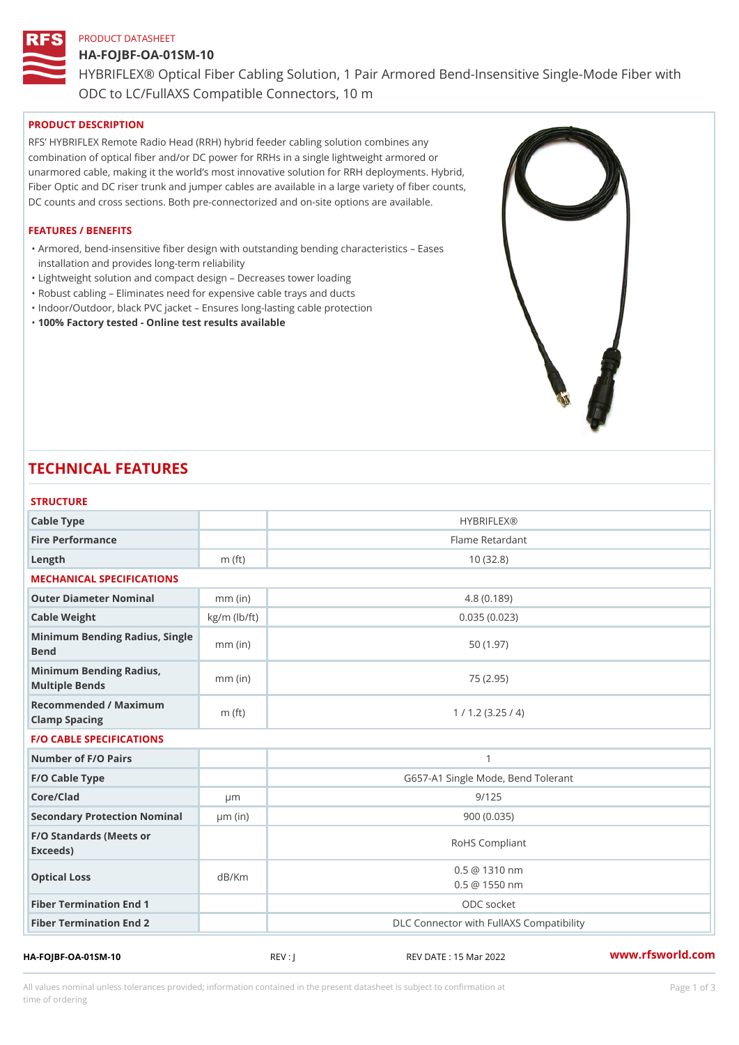# PRODUCT DATASHEET HA-FOJBF-OA-01SM-10 HYBRIFLEX® Optical Fiber Cabling Solution, 1 Pair Armored Bend-Inse ODC to LC/FullAXS Compatible Connectors, 10 m

# PRODUCT DESCRIPTION

RFS HYBRIFLEX Remote Radio Head (RRH) hybrid feeder cabling solution combines any combination of optical fiber and/or DC power for RRHs in a single lightweight armored or unarmored cable, making it the world s most innovative solution for RRH deployments. Hybrid, Fiber Optic and DC riser trunk and jumper cables are available in a large variety of fiber counts, DC counts and cross sections. Both pre-connectorized and on-site options are available.

### FEATURES / BENEFITS

Armored, bend-insensitive fiber design with outstanding bending characteristics Eases " installation and provides long-term reliability

- "Lightweight solution and compact design Decreases tower loading
- "Robust cabling Eliminates need for expensive cable trays and ducts
- "Indoor/Outdoor, black PVC jacket Ensures long-lasting cable protection
- "100% Factory tested Online test results available

# TECHNICAL FEATURES

| <b>HYBRIFLEX®</b><br>Flame Retardant<br>10(32.8)<br>4.8(0.189)<br>0.035(0.023)<br>50(1.97)<br>75 (2.95)<br>1 / 1.2 (3.25 / 4) |
|-------------------------------------------------------------------------------------------------------------------------------|
|                                                                                                                               |
|                                                                                                                               |
|                                                                                                                               |
|                                                                                                                               |
|                                                                                                                               |
|                                                                                                                               |
|                                                                                                                               |
|                                                                                                                               |
|                                                                                                                               |
|                                                                                                                               |
| $\mathbf{1}$                                                                                                                  |
| G657-A1 Single Mode, Bend Tolerant                                                                                            |
| 9/125                                                                                                                         |
| 900(0.035)                                                                                                                    |
| RoHS Compliant                                                                                                                |
| $0.5 \ @ \ 1310 \ nm$<br>$0.5 \ @ \ 1550 \ nm$                                                                                |
| ODC socket                                                                                                                    |
| DLC Connector with FullAXS Compatibility                                                                                      |
|                                                                                                                               |

All values nominal unless tolerances provided; information contained in the present datasheet is subject to Pcapgeign mation time of ordering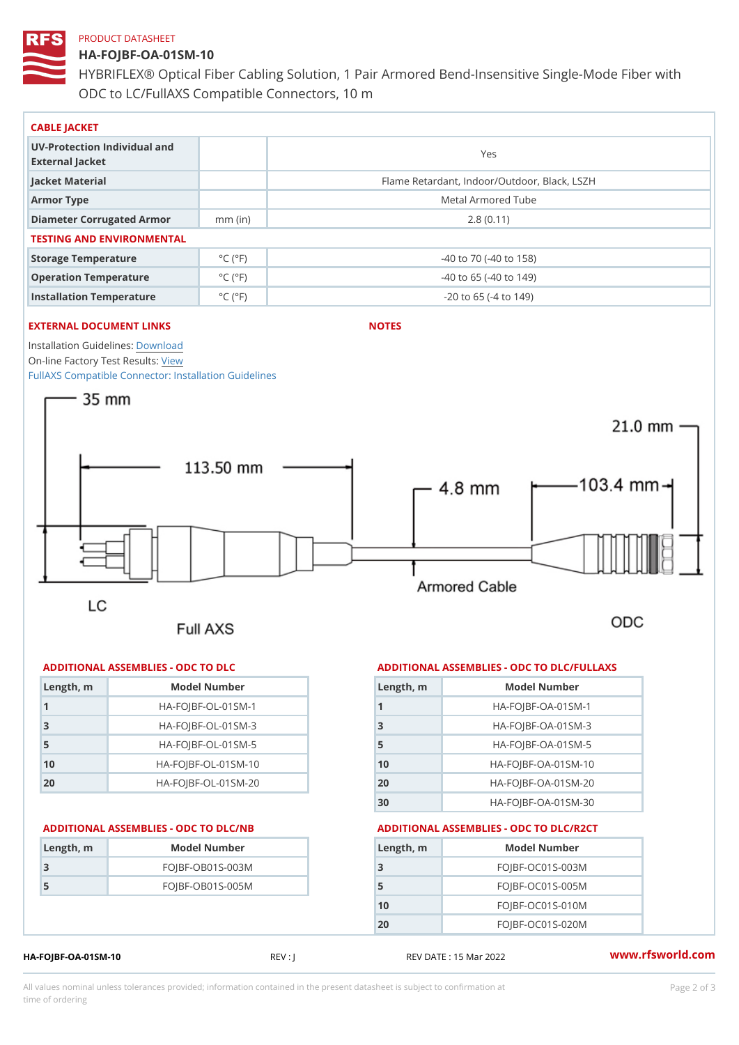## PRODUCT DATASHEET

# HA-FOJBF-OA-01SM-10 HYBRIFLEX® Optical Fiber Cabling Solution, 1 Pair Armored Bend-Inse ODC to LC/FullAXS Compatible Connectors, 10 m

| CABLE JACKET                                    |                             |                                              |
|-------------------------------------------------|-----------------------------|----------------------------------------------|
| UV-Protection Individual and<br>External Jacket |                             | Yes                                          |
| Jacket Material                                 |                             | Flame Retardant, Indoor/Outdoor, Black, LSZH |
| Armor Type                                      |                             | Metal Armored Tube                           |
| Diameter Corrugated Armomm (in)                 |                             | 2.8(0.11)                                    |
| TESTING AND ENVIRONMENTAL                       |                             |                                              |
| Storage Temperature                             | $^{\circ}$ C ( $^{\circ}$ F | $-40$ to $70$ ( $-40$ to $158$ )             |
| Operation Temperature                           | $^{\circ}$ C ( $^{\circ}$ F | $-40$ to 65 ( $-40$ to 149)                  |
| Installation Temperature                        | $^{\circ}$ C ( $^{\circ}$ F | $-20$ to 65 ( $-4$ to 149)                   |

# EXTERNAL DOCUMENT LINKS

NOTES

Installation Guidelwin bosad On-line Factory Te[s](https://www.rfsworld.com/pictures/userfiles/programs/AAST Latest Version.zip)teResults: [FullAXS Compatible Connector: Ins](https://www.rfsworld.com/images/hybriflex/hybriflex_fullaxs_compatible_install_guidelines_603400164_revb.pdf)tallation Guidelines

## ADDITIONAL ASSEMBLIES - ODC TO DLC

| $L$ ength, $rn$ | Model Number                   |
|-----------------|--------------------------------|
|                 | $HA - FOJBF - OL - 01SM - 1$   |
| 3               | $HA - FOJBF - O L - 01SM - 3$  |
| 5               | $HA - FOJBF - O L - 01SM - 5$  |
| 1 <sub>0</sub>  | $HA - FOJBF - O L - 01SM - 10$ |
| 20              | $HA - FOJBF - O L - 01SM - 20$ |

| Length, m | Model Number       |
|-----------|--------------------|
| 3         | $FOJBF-OBO1S-OO3M$ |
| 5         | $FOJBF-OBO1S-OO5M$ |
|           |                    |

## ADDITIONAL ASSEMBLIES - ODC TO DLC/FULLAXS

| Length, m | Model Number                  |
|-----------|-------------------------------|
|           | $HA - FOJBF - OA - 01SM - 1$  |
| 3         | $HA - FOJBF - OA - 01SM - B$  |
| 5         | $HA - FOJBF - OA - 01SM - 5$  |
| 10        | $HA - FOJBF - OA - 01SM - 10$ |
| 20        | $HA - FOJBF - OA - 01SM - 20$ |
| 30        | HA-FOJBF-OA-01SM-30           |

## ADDITIONAL ASSEMBLIES - ODC TO DLC/NB ADDITIONAL ASSEMBLIES - ODC TO DLC/R2CT

| Length, m      | Model Number       |
|----------------|--------------------|
| 3              | $FOJBF-OCO1S-OO3M$ |
| 5              | $FOJBF-OCO1S-OO5M$ |
| 1 <sub>0</sub> | $FOJBF-OCO1S-010M$ |
| 20             | $FOJBF-OCO1S-020M$ |

# HA-FOJBF-OA-01SM-10 REV : J REV DATE : 15 Mar 2022 WWW.rfsworld.com

All values nominal unless tolerances provided; information contained in the present datasheet is subject to Pcapgelio an atio time of ordering